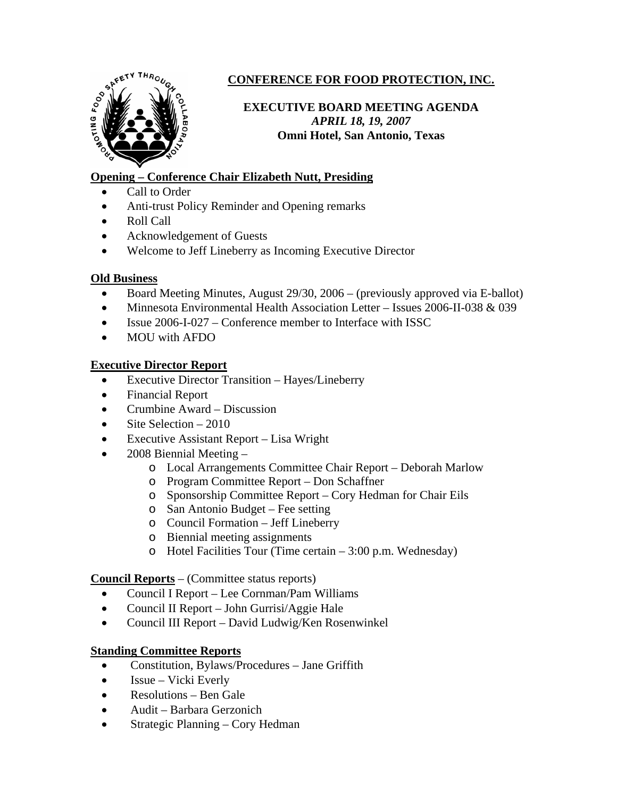

# **CONFERENCE FOR FOOD PROTECTION, INC.**

# **EXECUTIVE BOARD MEETING AGENDA**  *APRIL 18, 19, 2007*  **Omni Hotel, San Antonio, Texas**

# **Opening – Conference Chair Elizabeth Nutt, Presiding**

- Call to Order
- Anti-trust Policy Reminder and Opening remarks
- Roll Call
- Acknowledgement of Guests
- Welcome to Jeff Lineberry as Incoming Executive Director

### **Old Business**

- Board Meeting Minutes, August 29/30, 2006 (previously approved via E-ballot)
- Minnesota Environmental Health Association Letter Issues 2006-II-038 & 039
- Issue 2006-I-027 Conference member to Interface with ISSC
- MOU with AFDO

### **Executive Director Report**

- Executive Director Transition Hayes/Lineberry
- Financial Report
- Crumbine Award Discussion
- Site Selection  $-2010$
- Executive Assistant Report Lisa Wright
- 2008 Biennial Meeting
	- o Local Arrangements Committee Chair Report Deborah Marlow
	- o Program Committee Report Don Schaffner
	- o Sponsorship Committee Report Cory Hedman for Chair Eils
	- o San Antonio Budget Fee setting
	- o Council Formation Jeff Lineberry
	- o Biennial meeting assignments
	- o Hotel Facilities Tour (Time certain 3:00 p.m. Wednesday)

### **Council Reports** – (Committee status reports)

- Council I Report Lee Cornman/Pam Williams
- Council II Report John Gurrisi/Aggie Hale
- Council III Report David Ludwig/Ken Rosenwinkel

# **Standing Committee Reports**

- Constitution, Bylaws/Procedures Jane Griffith
- Issue Vicki Everly
- Resolutions Ben Gale
- Audit Barbara Gerzonich
- Strategic Planning Cory Hedman